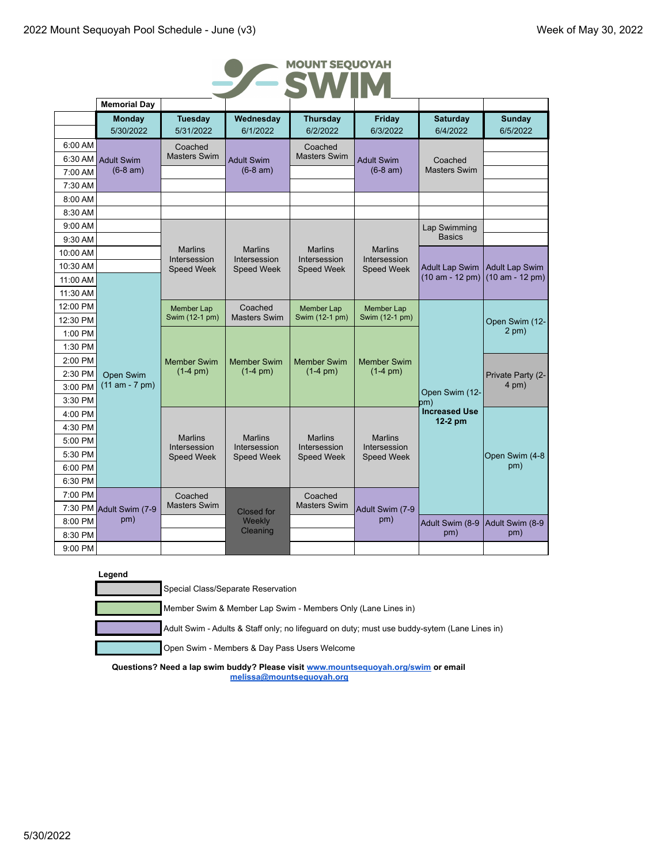

|          | <b>Memorial Day</b>     |                                |                                |                                |                                   |                                 |                       |
|----------|-------------------------|--------------------------------|--------------------------------|--------------------------------|-----------------------------------|---------------------------------|-----------------------|
|          | <b>Monday</b>           | <b>Tuesday</b>                 | Wednesday                      | <b>Thursday</b>                | Friday                            | <b>Saturday</b>                 | <b>Sunday</b>         |
|          | 5/30/2022               | 5/31/2022                      | 6/1/2022                       | 6/2/2022                       | 6/3/2022                          | 6/4/2022                        | 6/5/2022              |
| 6:00 AM  |                         | Coached                        |                                | Coached<br><b>Masters Swim</b> |                                   |                                 |                       |
| 6:30 AM  | <b>Adult Swim</b>       | <b>Masters Swim</b>            | <b>Adult Swim</b>              | <b>Adult Swim</b>              | Coached                           |                                 |                       |
| 7:00 AM  | $(6-8 am)$              |                                | $(6-8 am)$                     |                                | $(6-8 am)$                        | <b>Masters Swim</b>             |                       |
| 7:30 AM  |                         |                                |                                |                                |                                   |                                 |                       |
| 8:00 AM  |                         |                                |                                |                                |                                   |                                 |                       |
| 8:30 AM  |                         |                                |                                |                                |                                   |                                 |                       |
| 9:00 AM  |                         |                                |                                |                                |                                   | Lap Swimming                    |                       |
| 9:30 AM  |                         | <b>Marlins</b>                 | <b>Marlins</b>                 | <b>Marlins</b>                 | <b>Marlins</b>                    | <b>Basics</b>                   |                       |
| 10:00 AM |                         | Intersession                   | Intersession                   | Intersession                   | Intersession                      |                                 |                       |
| 10:30 AM |                         | <b>Speed Week</b>              | <b>Speed Week</b>              | <b>Speed Week</b>              | <b>Speed Week</b>                 | <b>Adult Lap Swim</b>           | <b>Adult Lap Swim</b> |
| 11:00 AM |                         |                                |                                |                                |                                   | $(10 am - 12 pm)$               | $(10 am - 12 pm)$     |
| 11:30 AM |                         |                                |                                |                                |                                   |                                 |                       |
| 12:00 PM |                         | Member Lap                     | Coached                        | Member Lap                     | Member Lap                        |                                 |                       |
| 12:30 PM |                         | Swim (12-1 pm)                 | <b>Masters Swim</b>            | Swim (12-1 pm)                 | Swim (12-1 pm)                    |                                 | Open Swim (12-        |
| 1:00 PM  |                         |                                |                                |                                |                                   |                                 | $2$ pm $)$            |
| 1:30 PM  |                         |                                |                                |                                |                                   |                                 |                       |
| 2:00 PM  |                         | <b>Member Swim</b>             | <b>Member Swim</b>             | <b>Member Swim</b>             | <b>Member Swim</b><br>$(1-4)$ pm) |                                 |                       |
| 2:30 PM  | Open Swim               | $(1-4)$ pm)                    | $(1-4)$ pm)                    | $(1-4)$ pm)                    |                                   |                                 | Private Party (2-     |
| 3:00 PM  | $(11 am - 7 pm)$        |                                |                                |                                |                                   | Open Swim (12-                  | $4$ pm $)$            |
| 3:30 PM  |                         |                                |                                |                                |                                   | bm)                             |                       |
| 4:00 PM  |                         |                                |                                |                                |                                   | <b>Increased Use</b><br>12-2 pm |                       |
| 4:30 PM  |                         |                                |                                |                                |                                   |                                 |                       |
| 5:00 PM  |                         | <b>Marlins</b><br>Intersession | <b>Marlins</b><br>Intersession | <b>Marlins</b><br>Intersession | <b>Marlins</b><br>Intersession    |                                 |                       |
| 5:30 PM  |                         | Speed Week                     | <b>Speed Week</b>              | <b>Speed Week</b>              | <b>Speed Week</b>                 |                                 | Open Swim (4-8        |
| 6:00 PM  |                         |                                |                                |                                |                                   |                                 | pm)                   |
| 6:30 PM  |                         |                                |                                |                                |                                   |                                 |                       |
| 7:00 PM  |                         | Coached                        |                                | Coached                        | Adult Swim (7-9                   |                                 |                       |
|          | 7:30 PM Adult Swim (7-9 | <b>Masters Swim</b>            | <b>Closed for</b>              | <b>Masters Swim</b>            |                                   |                                 |                       |
| 8:00 PM  | pm)                     |                                | Weekly                         |                                | pm)                               | Adult Swim (8-9                 | Adult Swim (8-9       |
| 8:30 PM  |                         |                                | Cleaning                       |                                |                                   | pm)                             | pm)                   |
| 9:00 PM  |                         |                                |                                |                                |                                   |                                 |                       |

|--|

Special Class/Separate Reservation

Member Swim & Member Lap Swim - Members Only (Lane Lines in)

Adult Swim - Adults & Staff only; no lifeguard on duty; must use buddy-sytem (Lane Lines in)

Open Swim - Members & Day Pass Users Welcome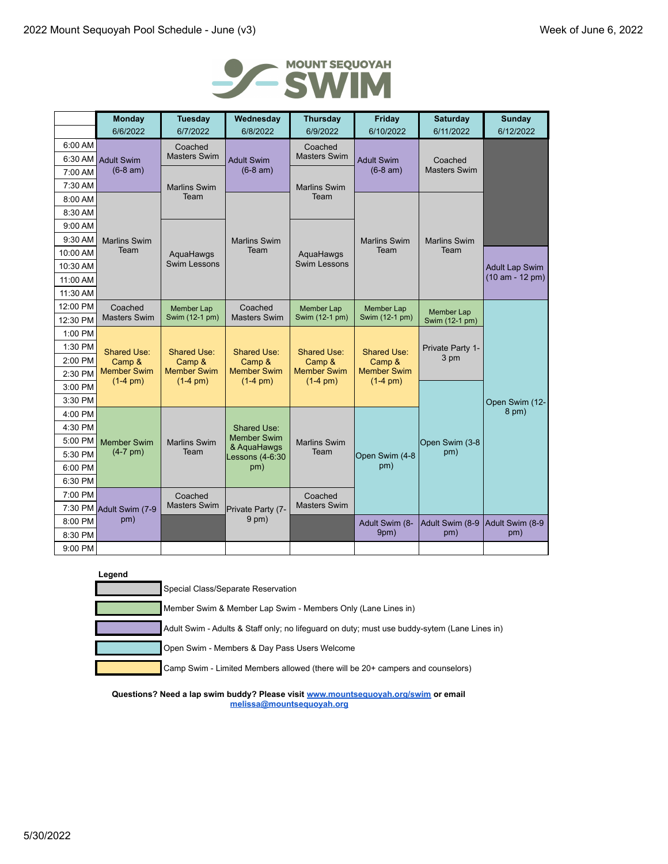

|                    | <b>Monday</b>                                                                                                                          | <b>Tuesday</b>                              | Wednesday                         | <b>Thursday</b>              | Friday                 | <b>Saturday</b>                | <b>Sunday</b>           |
|--------------------|----------------------------------------------------------------------------------------------------------------------------------------|---------------------------------------------|-----------------------------------|------------------------------|------------------------|--------------------------------|-------------------------|
|                    | 6/6/2022                                                                                                                               | 6/7/2022                                    | 6/8/2022                          | 6/9/2022                     | 6/10/2022              | 6/11/2022                      | 6/12/2022               |
| 6:00 AM            | <b>Adult Swim</b>                                                                                                                      | Coached                                     |                                   | Coached                      |                        | Coached<br><b>Masters Swim</b> |                         |
| 6:30 AM            |                                                                                                                                        | <b>Masters Swim</b>                         | <b>Adult Swim</b>                 | <b>Masters Swim</b>          | <b>Adult Swim</b>      |                                |                         |
| 7:00 AM            | $(6-8 am)$                                                                                                                             |                                             | $(6-8 am)$                        |                              | $(6-8 am)$             |                                |                         |
| 7:30 AM            |                                                                                                                                        | <b>Marlins Swim</b>                         |                                   | <b>Marlins Swim</b>          |                        |                                |                         |
| 8:00 AM            |                                                                                                                                        | Team                                        |                                   | Team                         |                        |                                |                         |
| 8:30 AM            |                                                                                                                                        |                                             |                                   |                              |                        |                                |                         |
| 9:00 AM            |                                                                                                                                        |                                             |                                   |                              |                        |                                |                         |
| $9:30$ AM          | <b>Marlins Swim</b>                                                                                                                    |                                             | <b>Marlins Swim</b>               |                              | <b>Marlins Swim</b>    | <b>Marlins Swim</b>            |                         |
| 10:00 AM           | Team                                                                                                                                   | AquaHawgs                                   | Team                              | AquaHawgs                    | Team                   | Team                           |                         |
| 10:30 AM           |                                                                                                                                        | <b>Swim Lessons</b>                         |                                   | <b>Swim Lessons</b>          |                        |                                | <b>Adult Lap Swim</b>   |
| 11:00 AM           |                                                                                                                                        |                                             |                                   |                              |                        |                                | $(10 am - 12 pm)$       |
| 11:30 AM           |                                                                                                                                        |                                             |                                   |                              |                        |                                |                         |
| 12:00 PM           | Coached                                                                                                                                | Member Lap                                  | Coached                           | <b>Member Lap</b>            | <b>Member Lap</b>      | <b>Member Lap</b>              |                         |
| 12:30 PM           | <b>Masters Swim</b>                                                                                                                    | Swim (12-1 pm)                              | <b>Masters Swim</b>               | Swim (12-1 pm)               | Swim (12-1 pm)         | Swim (12-1 pm)                 |                         |
| 1:00 PM            | <b>Shared Use:</b><br><b>Shared Use:</b><br>Camp &<br>Camp &<br><b>Member Swim</b><br><b>Member Swim</b><br>$(1-4)$ pm)<br>$(1-4)$ pm) |                                             |                                   |                              |                        |                                |                         |
| 1:30 PM            |                                                                                                                                        | <b>Shared Use:</b><br><b>Shared Use:</b>    | <b>Shared Use:</b>                | Private Party 1-<br>3 pm     |                        |                                |                         |
| 2:00 PM            |                                                                                                                                        | Camp &<br><b>Member Swim</b><br>$(1-4)$ pm) | Camp &<br><b>Member Swim</b>      | Camp &<br><b>Member Swim</b> |                        |                                |                         |
| 2:30 PM            |                                                                                                                                        |                                             | $(1-4)$ pm)                       | $(1-4)$ pm)                  |                        |                                |                         |
| 3:00 PM            |                                                                                                                                        |                                             |                                   |                              |                        |                                |                         |
| 3:30 PM            |                                                                                                                                        |                                             |                                   |                              |                        |                                | Open Swim (12-<br>8 pm) |
| 4:00 PM            |                                                                                                                                        |                                             |                                   |                              |                        |                                |                         |
| 4:30 PM            |                                                                                                                                        |                                             | Shared Use:<br><b>Member Swim</b> |                              |                        |                                |                         |
| 5:00 PM<br>5:30 PM | <b>Member Swim</b><br>$(4-7)$ pm)                                                                                                      | <b>Marlins Swim</b><br>Team                 | & AquaHawgs                       | <b>Marlins Swim</b><br>Team  |                        | Open Swim (3-8<br>pm)          |                         |
| 6:00 PM            |                                                                                                                                        |                                             | Lessons (4-6:30<br>pm)            |                              | Open Swim (4-8<br>pm)  |                                |                         |
| 6:30 PM            |                                                                                                                                        |                                             |                                   |                              |                        |                                |                         |
| 7:00 PM            |                                                                                                                                        |                                             |                                   | Coached                      |                        |                                |                         |
|                    | 7:30 PM Adult Swim (7-9                                                                                                                | Coached<br><b>Masters Swim</b>              |                                   | <b>Masters Swim</b>          |                        |                                |                         |
| 8:00 PM            | pm)                                                                                                                                    |                                             | Private Party (7-<br>$9$ pm $)$   |                              |                        |                                |                         |
| 8:30 PM            |                                                                                                                                        |                                             |                                   |                              | Adult Swim (8-<br>9pm) | Adult Swim (8-9<br>pm)         | Adult Swim (8-9<br>pm)  |
| 9:00 PM            |                                                                                                                                        |                                             |                                   |                              |                        |                                |                         |

| Legend                                                                                       |
|----------------------------------------------------------------------------------------------|
| Special Class/Separate Reservation                                                           |
| Member Swim & Member Lap Swim - Members Only (Lane Lines in)                                 |
| Adult Swim - Adults & Staff only; no lifeguard on duty; must use buddy-sytem (Lane Lines in) |
| Open Swim - Members & Day Pass Users Welcome                                                 |
| Camp Swim - Limited Members allowed (there will be 20+ campers and counselors)               |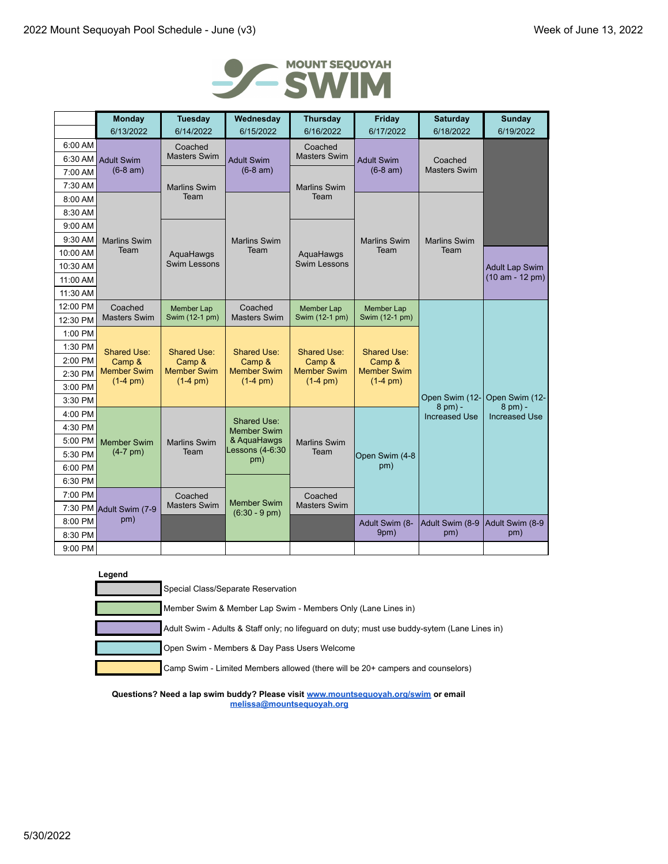

|          | <b>Monday</b>                               | <b>Tuesday</b>                                             | Wednesday                                                  | <b>Thursday</b>                                                   | Friday                                                     | <b>Saturday</b>           | Sunday                      |
|----------|---------------------------------------------|------------------------------------------------------------|------------------------------------------------------------|-------------------------------------------------------------------|------------------------------------------------------------|---------------------------|-----------------------------|
|          | 6/13/2022                                   | 6/14/2022                                                  | 6/15/2022                                                  | 6/16/2022                                                         | 6/17/2022                                                  | 6/18/2022                 | 6/19/2022                   |
| 6:00 AM  |                                             | Coached                                                    |                                                            | Coached                                                           |                                                            |                           |                             |
| 6:30 AM  | <b>Adult Swim</b>                           | <b>Masters Swim</b>                                        | <b>Adult Swim</b>                                          | <b>Masters Swim</b>                                               | <b>Adult Swim</b>                                          | Coached                   |                             |
| 7:00 AM  | $(6-8 am)$                                  |                                                            | $(6-8 am)$                                                 | $(6-8 am)$                                                        |                                                            | <b>Masters Swim</b>       |                             |
| 7:30 AM  |                                             | <b>Marlins Swim</b>                                        |                                                            | <b>Marlins Swim</b>                                               |                                                            |                           |                             |
| 8:00 AM  |                                             | Team                                                       |                                                            | Team                                                              |                                                            |                           |                             |
| 8:30 AM  |                                             |                                                            |                                                            |                                                                   |                                                            |                           |                             |
| 9:00 AM  |                                             |                                                            |                                                            |                                                                   |                                                            |                           |                             |
| 9:30 AM  | <b>Marlins Swim</b>                         |                                                            | <b>Marlins Swim</b>                                        |                                                                   | <b>Marlins Swim</b>                                        | <b>Marlins Swim</b>       |                             |
| 10:00 AM | Team                                        | AquaHawgs                                                  | Team                                                       | AquaHawgs                                                         | Team                                                       | Team                      |                             |
| 10:30 AM |                                             | Swim Lessons                                               |                                                            | Swim Lessons                                                      |                                                            |                           | <b>Adult Lap Swim</b>       |
| 11:00 AM |                                             |                                                            |                                                            |                                                                   |                                                            |                           | $(10 am - 12 pm)$           |
| 11:30 AM |                                             |                                                            |                                                            |                                                                   |                                                            |                           |                             |
| 12:00 PM | Coached                                     | <b>Member Lap</b>                                          | Coached                                                    | <b>Member Lap</b>                                                 | <b>Member Lap</b><br>Swim (12-1 pm)                        |                           |                             |
| 12:30 PM | <b>Masters Swim</b>                         | Swim (12-1 pm)                                             | <b>Masters Swim</b>                                        | Swim (12-1 pm)                                                    |                                                            |                           |                             |
| 1:00 PM  |                                             |                                                            |                                                            |                                                                   | Shared Use:<br>Camp &<br><b>Member Swim</b><br>$(1-4)$ pm) |                           |                             |
| 1:30 PM  | <b>Shared Use:</b>                          | Shared Use:<br>Camp &<br><b>Member Swim</b><br>$(1-4)$ pm) | Shared Use:<br>Camp &<br><b>Member Swim</b><br>$(1-4)$ pm) | <b>Shared Use:</b><br>Camp &<br><b>Member Swim</b><br>$(1-4)$ pm) |                                                            |                           |                             |
| 2:00 PM  | Camp &<br><b>Member Swim</b><br>$(1-4)$ pm) |                                                            |                                                            |                                                                   |                                                            |                           |                             |
| 2:30 PM  |                                             |                                                            |                                                            |                                                                   |                                                            |                           |                             |
| 3:00 PM  |                                             |                                                            |                                                            |                                                                   |                                                            |                           |                             |
| 3:30 PM  |                                             |                                                            |                                                            |                                                                   |                                                            | Open Swim (12-<br>8 pm) - | Open Swim (12-<br>$8$ pm) - |
| 4:00 PM  |                                             |                                                            | Shared Use:                                                |                                                                   |                                                            | <b>Increased Use</b>      | <b>Increased Use</b>        |
| 4:30 PM  |                                             |                                                            | <b>Member Swim</b>                                         |                                                                   |                                                            |                           |                             |
| 5:00 PM  | <b>Member Swim</b>                          | <b>Marlins Swim</b>                                        | & AquaHawgs<br>Lessons (4-6:30                             | <b>Marlins Swim</b>                                               |                                                            |                           |                             |
| 5:30 PM  | $(4-7)$ pm)                                 | Team                                                       | pm)                                                        | Team                                                              | Open Swim (4-8                                             |                           |                             |
| 6:00 PM  |                                             |                                                            |                                                            |                                                                   | pm)                                                        |                           |                             |
| 6:30 PM  |                                             |                                                            |                                                            |                                                                   |                                                            |                           |                             |
| 7:00 PM  |                                             | Coached                                                    | <b>Member Swim</b>                                         | Coached                                                           |                                                            |                           |                             |
|          | 7:30 PM Adult Swim (7-9                     | <b>Masters Swim</b>                                        | $(6:30 - 9 \text{ pm})$                                    | <b>Masters Swim</b>                                               |                                                            |                           |                             |
| 8:00 PM  | pm)                                         |                                                            |                                                            |                                                                   | Adult Swim (8-                                             | Adult Swim (8-9           | Adult Swim (8-9             |
| 8:30 PM  |                                             |                                                            |                                                            |                                                                   | 9pm)                                                       | pm)                       | pm)                         |
| 9:00 PM  |                                             |                                                            |                                                            |                                                                   |                                                            |                           |                             |

| Legend                                                                                       |
|----------------------------------------------------------------------------------------------|
| Special Class/Separate Reservation                                                           |
| Member Swim & Member Lap Swim - Members Only (Lane Lines in)                                 |
| Adult Swim - Adults & Staff only; no lifeguard on duty; must use buddy-sytem (Lane Lines in) |
| Open Swim - Members & Day Pass Users Welcome                                                 |
| Camp Swim - Limited Members allowed (there will be 20+ campers and counselors)               |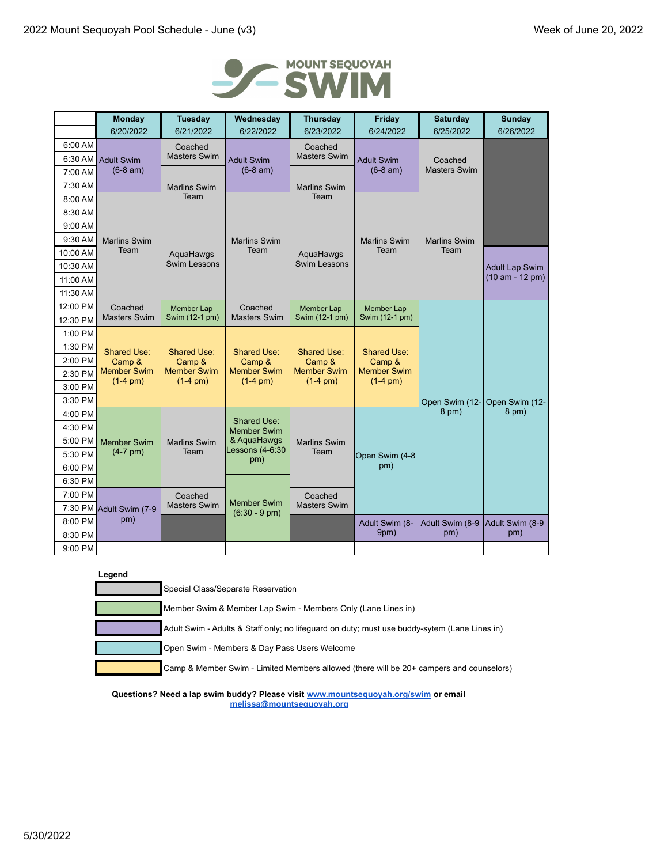

|          | <b>Monday</b>                                                                                                                          | <b>Tuesday</b>                                       | Wednesday                      | <b>Thursday</b>                                  | Friday                              | <b>Saturday</b>     | <b>Sunday</b>                              |
|----------|----------------------------------------------------------------------------------------------------------------------------------------|------------------------------------------------------|--------------------------------|--------------------------------------------------|-------------------------------------|---------------------|--------------------------------------------|
|          | 6/20/2022                                                                                                                              | 6/21/2022                                            | 6/22/2022                      | 6/23/2022                                        | 6/24/2022                           | 6/25/2022           | 6/26/2022                                  |
| 6:00 AM  |                                                                                                                                        | Coached                                              |                                | Coached                                          |                                     |                     |                                            |
| 6:30 AM  | <b>Adult Swim</b>                                                                                                                      | <b>Masters Swim</b>                                  | <b>Adult Swim</b>              | <b>Masters Swim</b><br><b>Adult Swim</b>         | Coached                             |                     |                                            |
| 7:00 AM  | $(6-8 am)$                                                                                                                             |                                                      | $(6-8 am)$                     |                                                  | $(6-8 am)$                          | <b>Masters Swim</b> |                                            |
| 7:30 AM  |                                                                                                                                        | <b>Marlins Swim</b>                                  |                                | <b>Marlins Swim</b>                              |                                     |                     |                                            |
| 8:00 AM  |                                                                                                                                        | Team                                                 |                                | Team                                             |                                     |                     |                                            |
| 8:30 AM  |                                                                                                                                        |                                                      |                                |                                                  |                                     |                     |                                            |
| 9:00 AM  |                                                                                                                                        |                                                      |                                |                                                  |                                     |                     |                                            |
| 9:30 AM  | <b>Marlins Swim</b>                                                                                                                    |                                                      | <b>Marlins Swim</b>            |                                                  | <b>Marlins Swim</b>                 | <b>Marlins Swim</b> |                                            |
| 10:00 AM | Team                                                                                                                                   | AquaHawgs                                            | Team                           | AquaHawgs                                        | Team                                | Team                |                                            |
| 10:30 AM |                                                                                                                                        | Swim Lessons                                         |                                | <b>Swim Lessons</b>                              |                                     |                     | <b>Adult Lap Swim</b><br>$(10 am - 12 pm)$ |
| 11:00 AM |                                                                                                                                        |                                                      |                                |                                                  |                                     |                     |                                            |
| 11:30 AM |                                                                                                                                        |                                                      |                                |                                                  |                                     |                     |                                            |
| 12:00 PM | Coached                                                                                                                                | <b>Member Lap</b>                                    | Coached                        | Member Lap                                       | <b>Member Lap</b><br>Swim (12-1 pm) |                     |                                            |
| 12:30 PM | <b>Masters Swim</b>                                                                                                                    | Swim (12-1 pm)                                       | <b>Masters Swim</b>            | Swim (12-1 pm)                                   |                                     |                     |                                            |
| 1:00 PM  |                                                                                                                                        |                                                      |                                |                                                  |                                     |                     |                                            |
| 1:30 PM  | <b>Shared Use:</b><br><b>Shared Use:</b><br>Camp &<br>Camp &<br><b>Member Swim</b><br><b>Member Swim</b><br>$(1-4)$ pm)<br>$(1-4)$ pm) | <b>Shared Use:</b>                                   | <b>Shared Use:</b>             | <b>Shared Use:</b>                               |                                     |                     |                                            |
| 2:00 PM  |                                                                                                                                        | Camp &<br><b>Member Swim</b>                         | Camp &                         | Camp &                                           |                                     |                     |                                            |
| 2:30 PM  |                                                                                                                                        |                                                      |                                | <b>Member Swim</b><br>$(1-4)$ pm)<br>$(1-4)$ pm) | <b>Member Swim</b><br>$(1-4)$ pm)   |                     |                                            |
| 3:00 PM  |                                                                                                                                        |                                                      |                                |                                                  |                                     |                     |                                            |
| 3:30 PM  |                                                                                                                                        |                                                      |                                |                                                  |                                     | Open Swim (12-      | Open Swim (12-                             |
| 4:00 PM  |                                                                                                                                        |                                                      | <b>Shared Use:</b>             |                                                  |                                     | $8$ pm $)$          | $8$ pm $)$                                 |
| 4:30 PM  |                                                                                                                                        |                                                      | <b>Member Swim</b>             |                                                  |                                     |                     |                                            |
| 5:00 PM  | <b>Member Swim</b>                                                                                                                     | <b>Marlins Swim</b>                                  | & AquaHawgs<br>Lessons (4-6:30 | <b>Marlins Swim</b>                              |                                     |                     |                                            |
| 5:30 PM  | $(4-7)$ pm)                                                                                                                            | Team                                                 | pm)                            | Team                                             | Open Swim (4-8                      |                     |                                            |
| 6:00 PM  |                                                                                                                                        |                                                      |                                |                                                  | pm)                                 |                     |                                            |
| 6:30 PM  |                                                                                                                                        |                                                      |                                |                                                  |                                     |                     |                                            |
| 7:00 PM  |                                                                                                                                        | Coached<br><b>Member Swim</b><br><b>Masters Swim</b> |                                | Coached                                          |                                     |                     |                                            |
|          | 7:30 PM Adult Swim (7-9                                                                                                                |                                                      | $(6:30 - 9 \text{ pm})$        | <b>Masters Swim</b>                              |                                     |                     |                                            |
| 8:00 PM  | pm)                                                                                                                                    |                                                      |                                |                                                  | Adult Swim (8-                      | Adult Swim (8-9     | Adult Swim (8-9                            |
| 8:30 PM  |                                                                                                                                        |                                                      |                                |                                                  | 9pm)                                | pm)                 | pm)                                        |
| 9:00 PM  |                                                                                                                                        |                                                      |                                |                                                  |                                     |                     |                                            |

| Legend |                                                                                              |
|--------|----------------------------------------------------------------------------------------------|
|        | Special Class/Separate Reservation                                                           |
|        | Member Swim & Member Lap Swim - Members Only (Lane Lines in)                                 |
|        | Adult Swim - Adults & Staff only; no lifeguard on duty; must use buddy-sytem (Lane Lines in) |
|        | Open Swim - Members & Day Pass Users Welcome                                                 |
|        | Camp & Member Swim - Limited Members allowed (there will be 20+ campers and counselors)      |